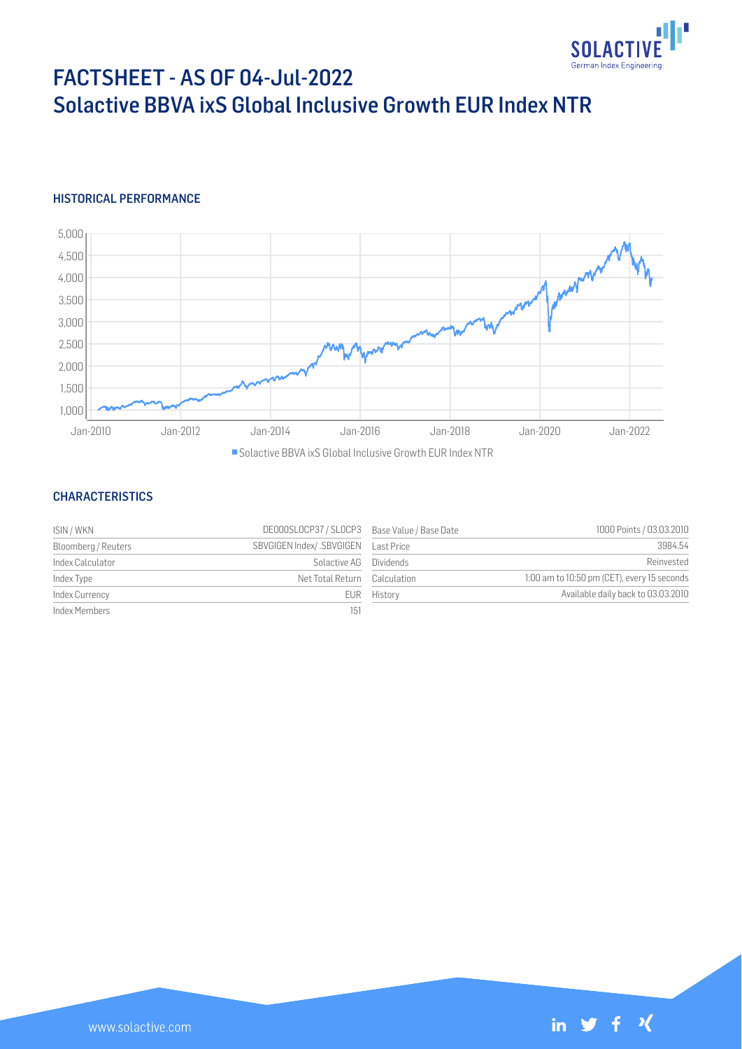

# FACTSHEET - AS OF 04-Jul-2022 Solactive BBVA ixS Global Inclusive Growth EUR Index NTR

#### HISTORICAL PERFORMANCE



Solactive BBVA ixS Global Inclusive Growth EUR Index NTR

#### **CHARACTERISTICS**

| ISIN / WKN          | DE000SLOCP37 / SLOCP3 Base Value / Base Date |             | 1000 Points / 03.03.2010                    |
|---------------------|----------------------------------------------|-------------|---------------------------------------------|
| Bloomberg / Reuters |                                              |             | 3984.54                                     |
| Index Calculator    | Solactive AG Dividends                       |             | Reinvested                                  |
| Index Type          | Net Total Return Calculation                 |             | 1:00 am to 10:50 pm (CET), every 15 seconds |
| Index Currency      |                                              | EUR History | Available daily back to 03.03.2010          |
| Index Members       | 151                                          |             |                                             |

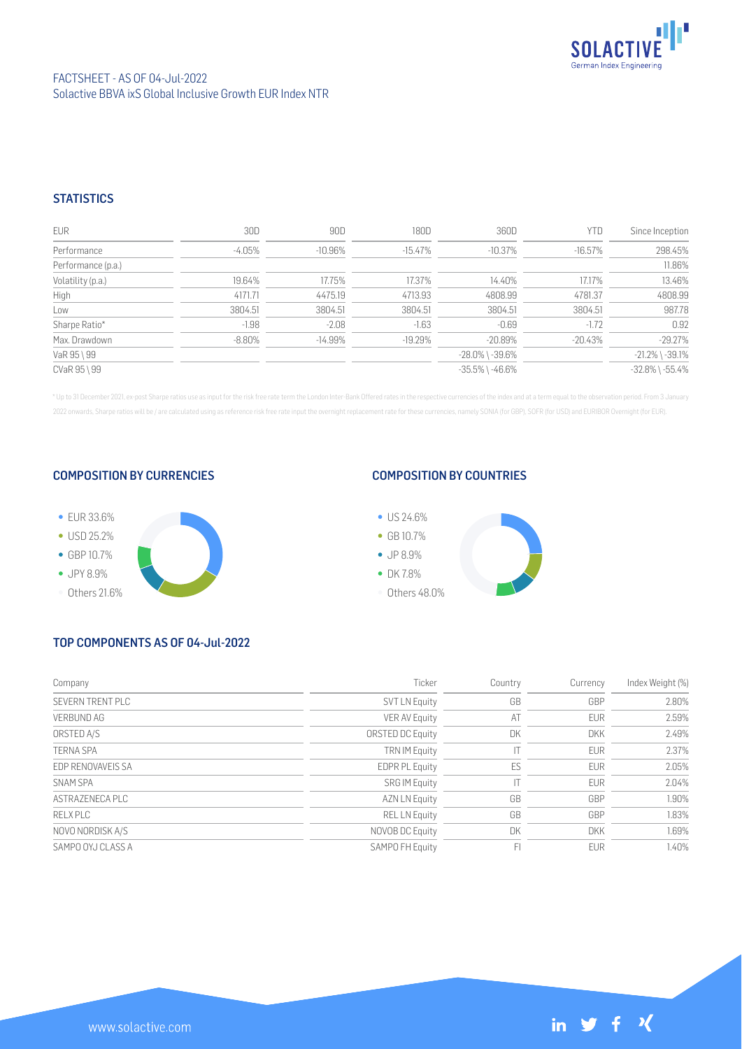

## FACTSHEET - AS OF 04-Jul-2022 Solactive BBVA ixS Global Inclusive Growth EUR Index NTR

### **STATISTICS**

| <b>EUR</b>         | 30D      | 90D        | 180D       | 360D                  | <b>YTD</b> | Since Inception       |
|--------------------|----------|------------|------------|-----------------------|------------|-----------------------|
| Performance        | -4.05%   | $-10.96\%$ | $-15.47\%$ | $-10.37\%$            | $-16.57%$  | 298.45%               |
| Performance (p.a.) |          |            |            |                       |            | 11.86%                |
| Volatility (p.a.)  | 19.64%   | 17.75%     | 17.37%     | 14.40%                | 17.17%     | 13.46%                |
| High               | 4171.71  | 4475.19    | 4713.93    | 4808.99               | 4781.37    | 4808.99               |
| Low                | 3804.51  | 3804.51    | 3804.51    | 3804.51               | 3804.51    | 987.78                |
| Sharpe Ratio*      | $-1.98$  | $-2.08$    | $-1.63$    | $-0.69$               | $-1.72$    | 0.92                  |
| Max. Drawdown      | $-8.80%$ | $-14.99%$  | $-19.29%$  | $-20.89%$             | $-20.43\%$ | $-29.27%$             |
| VaR 95 \ 99        |          |            |            | $-28.0\%$ \ $-39.6\%$ |            | $-21.2\%$ \ $-39.1\%$ |
| CVaR 95 \ 99       |          |            |            | $-35.5\%$ \ $-46.6\%$ |            | $-32.8\%$ \ $-55.4\%$ |

\* Up to 31 December 2021, ex-post Sharpe ratios use as input for the risk free rate term the London Inter-Bank Offered rates in the respective currencies of the index and at a term equal to the observation period. From 3 J 2022 onwards, Sharpe ratios will be / are calculated using as reference risk free rate input the overnight replacement rate for these currencies, namely SONIA (for GBP), SOFR (for USD) and EURIBOR Overnight (for EUR).

#### COMPOSITION BY CURRENCIES



## COMPOSITION BY COUNTRIES



# TOP COMPONENTS AS OF 04-Jul-2022

| Company           | Ticker                | Country | Currency   | Index Weight (%) |
|-------------------|-----------------------|---------|------------|------------------|
| SEVERN TRENT PLC  | <b>SVT LN Equity</b>  | GB      | GBP        | 2.80%            |
| <b>VERBUND AG</b> | VER AV Equity         | AT      | <b>EUR</b> | 2.59%            |
| ORSTED A/S        | ORSTED DC Equity      | DK      | <b>DKK</b> | 2.49%            |
| <b>TERNA SPA</b>  | <b>TRN IM Equity</b>  |         | <b>EUR</b> | 2.37%            |
| EDP RENOVAVEIS SA | <b>EDPR PL Equity</b> | ES      | <b>EUR</b> | 2.05%            |
| <b>SNAM SPA</b>   | <b>SRG IM Equity</b>  |         | <b>EUR</b> | 2.04%            |
| ASTRAZENECA PLC   | AZN LN Equity         | GB      | GBP        | 1.90%            |
| RELX PLC          | <b>REL LN Equity</b>  | GB      | GBP        | 1.83%            |
| NOVO NORDISK A/S  | NOVOB DC Equity       | DK      | <b>DKK</b> | 1.69%            |
| SAMPO OYJ CLASS A | SAMPO FH Equity       |         | <b>EUR</b> | 1.40%            |